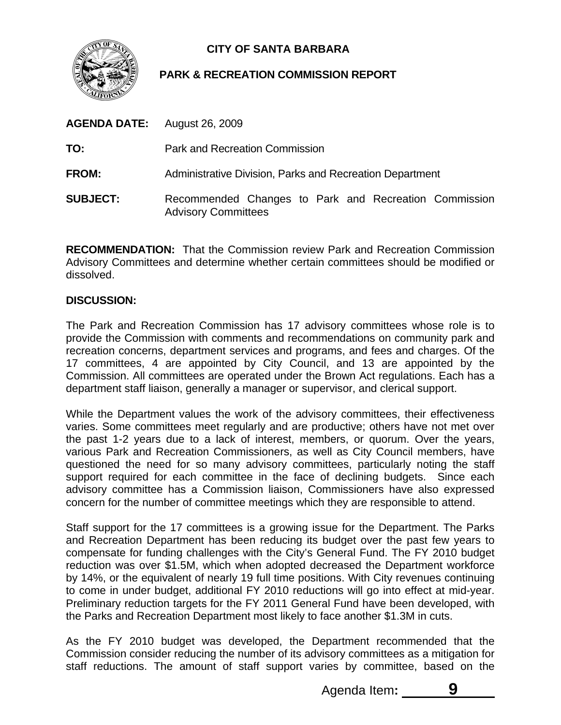

# **CITY OF SANTA BARBARA**

## **PARK & RECREATION COMMISSION REPORT**

| <b>AGENDA DATE:</b> August 26, 2009 |                                                                                     |
|-------------------------------------|-------------------------------------------------------------------------------------|
| TO:                                 | <b>Park and Recreation Commission</b>                                               |
| <b>FROM:</b>                        | Administrative Division, Parks and Recreation Department                            |
| <b>SUBJECT:</b>                     | Recommended Changes to Park and Recreation Commission<br><b>Advisory Committees</b> |

**RECOMMENDATION:** That the Commission review Park and Recreation Commission Advisory Committees and determine whether certain committees should be modified or dissolved.

## **DISCUSSION:**

The Park and Recreation Commission has 17 advisory committees whose role is to provide the Commission with comments and recommendations on community park and recreation concerns, department services and programs, and fees and charges. Of the 17 committees, 4 are appointed by City Council, and 13 are appointed by the Commission. All committees are operated under the Brown Act regulations. Each has a department staff liaison, generally a manager or supervisor, and clerical support.

While the Department values the work of the advisory committees, their effectiveness varies. Some committees meet regularly and are productive; others have not met over the past 1-2 years due to a lack of interest, members, or quorum. Over the years, various Park and Recreation Commissioners, as well as City Council members, have questioned the need for so many advisory committees, particularly noting the staff support required for each committee in the face of declining budgets. Since each advisory committee has a Commission liaison, Commissioners have also expressed concern for the number of committee meetings which they are responsible to attend.

Staff support for the 17 committees is a growing issue for the Department. The Parks and Recreation Department has been reducing its budget over the past few years to compensate for funding challenges with the City's General Fund. The FY 2010 budget reduction was over \$1.5M, which when adopted decreased the Department workforce by 14%, or the equivalent of nearly 19 full time positions. With City revenues continuing to come in under budget, additional FY 2010 reductions will go into effect at mid-year. Preliminary reduction targets for the FY 2011 General Fund have been developed, with the Parks and Recreation Department most likely to face another \$1.3M in cuts.

As the FY 2010 budget was developed, the Department recommended that the Commission consider reducing the number of its advisory committees as a mitigation for staff reductions. The amount of staff support varies by committee, based on the

Agenda Item:

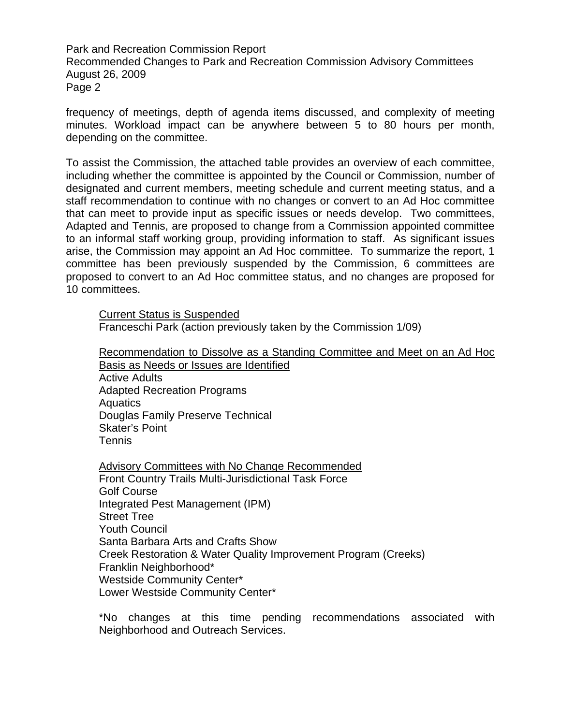Park and Recreation Commission Report Recommended Changes to Park and Recreation Commission Advisory Committees August 26, 2009 Page 2

frequency of meetings, depth of agenda items discussed, and complexity of meeting minutes. Workload impact can be anywhere between 5 to 80 hours per month, depending on the committee.

To assist the Commission, the attached table provides an overview of each committee, including whether the committee is appointed by the Council or Commission, number of designated and current members, meeting schedule and current meeting status, and a staff recommendation to continue with no changes or convert to an Ad Hoc committee that can meet to provide input as specific issues or needs develop. Two committees, Adapted and Tennis, are proposed to change from a Commission appointed committee to an informal staff working group, providing information to staff. As significant issues arise, the Commission may appoint an Ad Hoc committee. To summarize the report, 1 committee has been previously suspended by the Commission, 6 committees are proposed to convert to an Ad Hoc committee status, and no changes are proposed for 10 committees.

Current Status is Suspended Franceschi Park (action previously taken by the Commission 1/09)

Recommendation to Dissolve as a Standing Committee and Meet on an Ad Hoc Basis as Needs or Issues are Identified Active Adults Adapted Recreation Programs Aquatics Douglas Family Preserve Technical Skater's Point Tennis

Advisory Committees with No Change Recommended Front Country Trails Multi-Jurisdictional Task Force Golf Course Integrated Pest Management (IPM) Street Tree Youth Council Santa Barbara Arts and Crafts Show Creek Restoration & Water Quality Improvement Program (Creeks) Franklin Neighborhood\* Westside Community Center\* Lower Westside Community Center\*

\*No changes at this time pending recommendations associated with Neighborhood and Outreach Services.